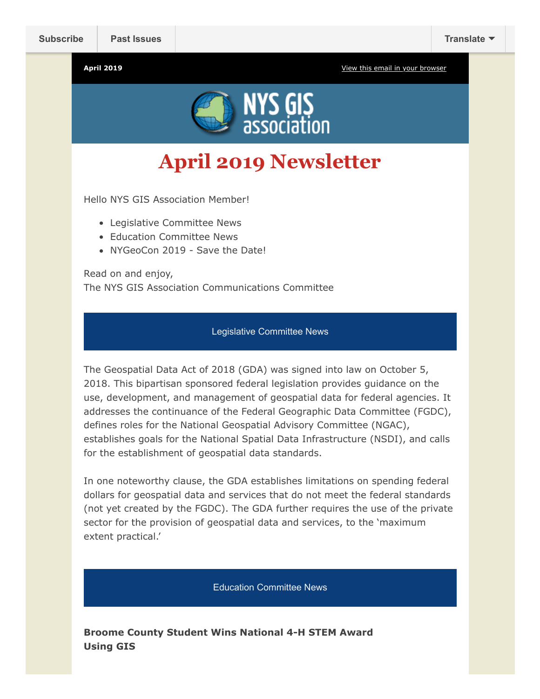**April 2019** [View this email in your browser](https://mailchi.mp/1c74665e3f38/newsletter-2929213?e=4c0b751255)



**April 2019 Newsletter**

Hello NYS GIS Association Member!

- Legislative Committee News
- Education Committee News
- NYGeoCon 2019 Save the Date!

Read on and enjoy, The NYS GIS Association Communications Committee

## Legislative Committee News

The Geospatial Data Act of 2018 (GDA) was signed into law on October 5, 2018. This bipartisan sponsored federal legislation provides guidance on the use, development, and management of geospatial data for federal agencies. It addresses the continuance of the Federal Geographic Data Committee (FGDC), defines roles for the National Geospatial Advisory Committee (NGAC), establishes goals for the National Spatial Data Infrastructure (NSDI), and calls for the establishment of geospatial data standards.

In one noteworthy clause, the GDA establishes limitations on spending federal dollars for geospatial data and services that do not meet the federal standards (not yet created by the FGDC). The GDA further requires the use of the private sector for the provision of geospatial data and services, to the 'maximum extent practical.'

Education Committee News

**Broome County Student Wins National 4-H STEM Award Using GIS**